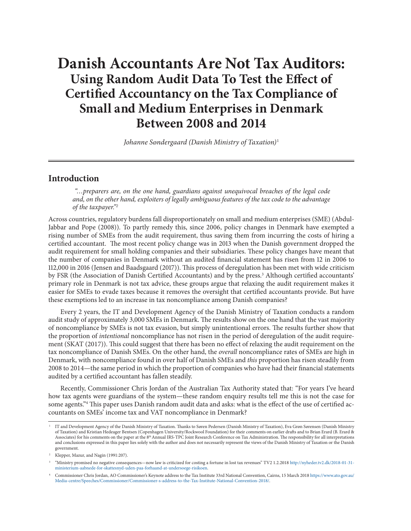# **Danish Accountants Are Not Tax Auditors: Using Random Audit Data To Test the Effect of Certified Accountancy on the Tax Compliance of Small and Medium Enterprises in Denmark Between 2008 and 2014**

*Johanne SØndergaard (Danish Ministry of Taxation)*<sup>1</sup>

# **Introduction**

 *"…preparers are, on the one hand, guardians against unequivocal breaches of the legal code and, on the other hand, exploiters of legally ambiguous features of the tax code to the advantage of the taxpayer."2*

Across countries, regulatory burdens fall disproportionately on small and medium enterprises (SME) (Abdul-Jabbar and Pope (2008)). To partly remedy this, since 2006, policy changes in Denmark have exempted a rising number of SMEs from the audit requirement, thus saving them from incurring the costs of hiring a certified accountant. The most recent policy change was in 2013 when the Danish government dropped the audit requirement for small holding companies and their subsidiaries. These policy changes have meant that the number of companies in Denmark without an audited financial statement has risen from 12 in 2006 to 112,000 in 2016 (Jensen and Baadsgaard (2017)). This process of deregulation has been met with wide criticism by FSR (the Association of Danish Certified Accountants) and by the press.<sup>3</sup> Although certified accountants' primary role in Denmark is not tax advice, these groups argue that relaxing the audit requirement makes it easier for SMEs to evade taxes because it removes the oversight that certified accountants provide. But have these exemptions led to an increase in tax noncompliance among Danish companies?

Every 2 years, the IT and Development Agency of the Danish Ministry of Taxation conducts a random audit study of approximately 3,000 SMEs in Denmark. The results show on the one hand that the vast majority of noncompliance by SMEs is not tax evasion, but simply unintentional errors. The results further show that the proportion of *intentional* noncompliance has not risen in the period of deregulation of the audit requirement (SKAT (2017)). This could suggest that there has been no effect of relaxing the audit requirement on the tax noncompliance of Danish SMEs. On the other hand, the *overall* noncompliance rates of SMEs are high in Denmark, with noncompliance found in over half of Danish SMEs and *this* proportion has risen steadily from 2008 to 2014—the same period in which the proportion of companies who have had their financial statements audited by a certified accountant has fallen steadily.

Recently, Commissioner Chris Jordan of the Australian Tax Authority stated that: "For years I've heard how tax agents were guardians of the system—these random enquiry results tell me this is not the case for some agents."4 This paper uses Danish random audit data and asks: what is the effect of the use of certified accountants on SMEs' income tax and VAT noncompliance in Denmark?

<sup>1</sup> IT and Development Agency of the Danish Ministry of Taxation. Thanks to Søren Pedersen (Danish Ministry of Taxation), Eva Grøn Sørensen (Danish Ministry of Taxation) and Kristian Hedeager Bentsen (Copenhagen University/Rockwool Foundation) for their comments on earlier drafts and to Brian Erard (B. Erard & Associates) for his comments on the paper at the 8<sup>th</sup> Annual IRS-TPC Joint Research Conference on Tax Administration. The responsibility for all interpretations and conclusions expressed in this paper lies solely with the author and does not necessarily represent the views of the Danish Ministry of Taxation or the Danish government.

<sup>&</sup>lt;sup>2</sup> Klepper, Mazur, and Nagin (1991:207).

<sup>3</sup> "Ministry promised no negative consequences—now law is criticized for costing a fortune in lost tax revenues" TV2 1.2.2018 http://nyheder.tv2.dk/2018-01-31 ministerium-aabnede-for-skattesnyd-uden-paa-forhaand-at-undersoege-risikoen.

<sup>4</sup> Commissioner Chris Jordan, AO Commissioner's Keynote address to the Tax Institute 33rd National Convention, Cairns, 15 March 2018 https://www.ato.gov.au/ Media-centre/Speeches/Commissioner/Commissioner-s-address-to-the-Tax-Institute-National-Convention-2018/.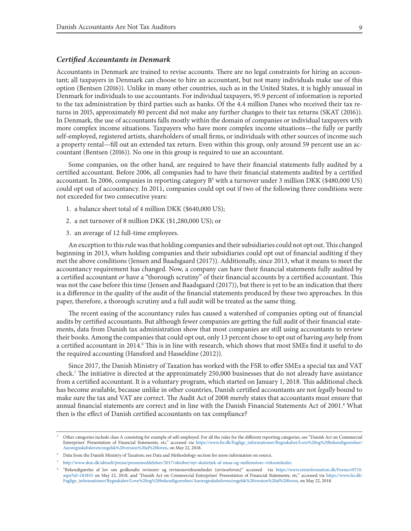#### *Certified Accountants in Denmark*

Accountants in Denmark are trained to revise accounts. There are no legal constraints for hiring an accountant; all taxpayers in Denmark can choose to hire an accountant, but not many individuals make use of this option (Bentsen (2016)). Unlike in many other countries, such as in the United States, it is highly unusual in Denmark for individuals to use accountants. For individual taxpayers, 95.9 percent of information is reported to the tax administration by third parties such as banks. Of the 4.4 million Danes who received their tax returns in 2015, approximately 80 percent did not make any further changes to their tax returns (SKAT (2016)). In Denmark, the use of accountants falls mostly within the domain of companies or individual taxpayers with more complex income situations. Taxpayers who have more complex income situations—the fully or partly self-employed, registered artists, shareholders of small firms, or individuals with other sources of income such a property rental—fill out an extended tax return. Even within this group, only around 59 percent use an accountant (Bentsen (2016)). No one in this group is required to use an accountant.

Some companies, on the other hand, are required to have their financial statements fully audited by a certified accountant. Before 2006, all companies had to have their financial statements audited by a certified accountant. In 2006, companies in reporting category B<sup>5</sup> with a turnover under 3 million DKK (\$480,000 US) could opt out of accountancy. In 2011, companies could opt out if two of the following three conditions were not exceeded for two consecutive years:

- 1. a balance sheet total of 4 million DKK (\$640,000 US);
- 2. a net turnover of 8 million DKK (\$1,280,000 US); or
- 3. an average of 12 full-time employees.

An exception to this rule was that holding companies and their subsidiaries could not opt out. This changed beginning in 2013, when holding companies and their subsidiaries could opt out of financial auditing if they met the above conditions (Jensen and Baadsgaard (2017)). Additionally, since 2013, what it means to meet the accountancy requirement has changed. Now, a company can have their financial statements fully audited by a certified accountant *or* have a "thorough scrutiny" of their financial accounts by a certified accountant. This was not the case before this time (Jensen and Baadsgaard (2017)), but there is yet to be an indication that there is a difference in the quality of the audit of the financial statements produced by these two approaches. In this paper, therefore, a thorough scrutiny and a full audit will be treated as the same thing.

The recent easing of the accountancy rules has caused a watershed of companies opting out of financial audits by certified accountants. But although fewer companies are getting the full audit of their financial statements, data from Danish tax administration show that most companies are still using accountants to review their books. Among the companies that could opt out, only 13 percent chose to opt out of having *any* help from a certified accountant in 2014.<sup>6</sup> This is in line with research, which shows that most SMEs find it useful to do the required accounting (Hansford and Hasseldine (2012)).

Since 2017, the Danish Ministry of Taxation has worked with the FSR to offer SMEs a special tax and VAT check.7 The initiative is directed at the approximately 250,000 businesses that do not already have assistance from a certified accountant. It is a voluntary program, which started on January 1, 2018. This additional check has become available, because unlike in other countries, Danish certified accountants are not *legally* bound to make sure the tax and VAT are correct. The Audit Act of 2008 merely states that accountants must ensure that annual financial statements are correct and in line with the Danish Financial Statements Act of 2001.<sup>8</sup> What then is the effect of Danish certified accountants on tax compliance?

<sup>5</sup> Other categories include class A consisting for example of self-employed. For all the rules for the different reporting categories, see "Danish Act on Commercial Enterprises' Presentation of Financial Statements, etc." accessed via https://www.fsr.dk/Faglige\_informationer/Regnskaber/Love%20og%20bekendtgoerelser/ Aarsregnskabsloven/engelsk%20version%20af%20loven, on May 22, 2018.

<sup>6</sup> Data from the Danish Ministry of Taxation; see Data and Methodology section for more information on source.

<sup>7</sup> http://www.skm.dk/aktuelt/presse/pressemeddelelser/2017/oktober/nyt-skattetjek-af-smaa-og-mellemstore-virksomheder.

<sup>8</sup> "Bekendtgørelse af lov om godkendte revisorer og revisionsvirksomheder (revisorloven)" accessed via https://www.retsinformation.dk/Forms/r0710. aspx?id=183855 on May 22, 2018, and "Danish Act on Commercial Enterprises' Presentation of Financial Statements, etc." accessed via https://www.fsr.dk/ Faglige\_informationer/Regnskaber/Love%20og%20bekendtgoerelser/Aarsregnskabsloven/engelsk%20version%20af%20loven, on May 22, 2018.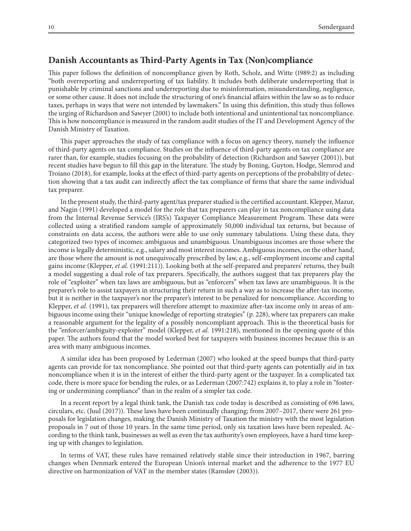# **Danish Accountants as Third-Party Agents in Tax (Non)compliance**

This paper follows the definition of noncompliance given by Roth, Scholz, and Witte (1989:2) as including "both overreporting and underreporting of tax liability. It includes both deliberate underreporting that is punishable by criminal sanctions and underreporting due to misinformation, misunderstanding, negligence, or some other cause. It does not include the structuring of one's financial affairs within the law so as to reduce taxes, perhaps in ways that were not intended by lawmakers." In using this definition, this study thus follows the urging of Richardson and Sawyer (2001) to include both intentional and unintentional tax noncompliance. This is how noncompliance is measured in the random audit studies of the IT and Development Agency of the Danish Ministry of Taxation.

This paper approaches the study of tax compliance with a focus on agency theory, namely the influence of third-party agents on tax compliance. Studies on the influence of third-party agents on tax compliance are rarer than, for example, studies focusing on the probability of detection (Richardson and Sawyer (2001)), but recent studies have begun to fill this gap in the literature. The study by Boning, Guyton, Hodge, Slemrod and Troiano (2018), for example, looks at the effect of third-party agents on perceptions of the probability of detection showing that a tax audit can indirectly affect the tax compliance of firms that share the same individual tax preparer.

In the present study, the third-party agent/tax preparer studied is the certified accountant. Klepper, Mazur, and Nagin (1991) developed a model for the role that tax preparers can play in tax noncompliance using data from the Internal Revenue Service's (IRS's) Taxpayer Compliance Measurement Program. These data were collected using a stratified random sample of approximately 50,000 individual tax returns, but because of constraints on data access, the authors were able to use only summary tabulations. Using these data, they categorized two types of incomes: ambiguous and unambiguous. Unambiguous incomes are those where the income is legally deterministic, e.g., salary and most interest incomes. Ambiguous incomes, on the other hand, are those where the amount is not unequivocally prescribed by law, e.g., self-employment income and capital gains income (Klepper, *et al.* (1991:211)). Looking both at the self-prepared and preparers' returns, they built a model suggesting a dual role of tax preparers. Specifically, the authors suggest that tax preparers play the role of "exploiter" when tax laws are ambiguous, but as "enforcers" when tax laws are unambiguous. It is the preparer's role to assist taxpayers in structuring their return in such a way as to increase the after-tax income, but it is neither in the taxpayer's nor the preparer's interest to be penalized for noncompliance. According to Klepper, *et al.* (1991), tax preparers will therefore attempt to maximize after-tax income only in areas of ambiguous income using their "unique knowledge of reporting strategies" (p. 228), where tax preparers can make a reasonable argument for the legality of a possibly noncompliant approach. This is the theoretical basis for the "enforcer/ambiguity-exploiter" model (Klepper, *et al.* 1991:218), mentioned in the opening quote of this paper. The authors found that the model worked best for taxpayers with business incomes because this is an area with many ambiguous incomes.

A similar idea has been proposed by Lederman (2007) who looked at the speed bumps that third-party agents can provide for tax noncompliance. She pointed out that third-party agents can potentially *aid* in tax noncompliance when it is in the interest of either the third-party agent or the taxpayer. In a complicated tax code, there is more space for bending the rules, or as Lederman (2007:742) explains it, to play a role in "fostering or undermining compliance" than in the realm of a simpler tax code.

In a recent report by a legal think tank, the Danish tax code today is described as consisting of 696 laws, circulars, etc. (Juul (2017)). These laws have been continually changing; from 2007–2017, there were 261 proposals for legislation changes, making the Danish Ministry of Taxation the ministry with the most legislation proposals in 7 out of those 10 years. In the same time period, only six taxation laws have been repealed. According to the think tank, businesses as well as even the tax authority's own employees, have a hard time keeping up with changes to legislation.

In terms of VAT, these rules have remained relatively stable since their introduction in 1967, barring changes when Denmark entered the European Union's internal market and the adherence to the 1977 EU directive on harmonization of VAT in the member states (Ramsløv (2003)).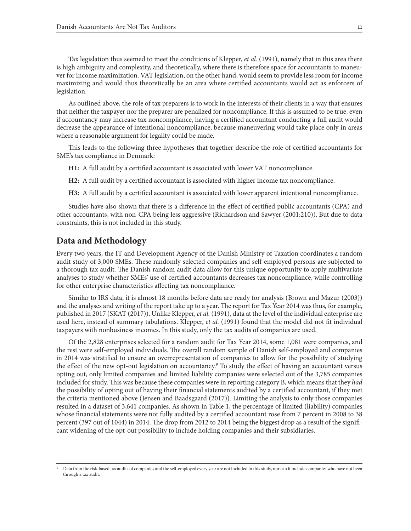Tax legislation thus seemed to meet the conditions of Klepper, *et al.* (1991), namely that in this area there is high ambiguity and complexity, and theoretically, where there is therefore space for accountants to maneuver for income maximization. VAT legislation, on the other hand, would seem to provide less room for income maximizing and would thus theoretically be an area where certified accountants would act as enforcers of legislation.

As outlined above, the role of tax preparers is to work in the interests of their clients in a way that ensures that neither the taxpayer nor the preparer are penalized for noncompliance. If this is assumed to be true, even if accountancy may increase tax noncompliance, having a certified accountant conducting a full audit would decrease the appearance of intentional noncompliance, because maneuvering would take place only in areas where a reasonable argument for legality could be made.

This leads to the following three hypotheses that together describe the role of certified accountants for SME's tax compliance in Denmark:

**H1:** A full audit by a certified accountant is associated with lower VAT noncompliance.

**H2:** A full audit by a certified accountant is associated with higher income tax noncompliance.

**H3:** A full audit by a certified accountant is associated with lower apparent intentional noncompliance.

Studies have also shown that there is a difference in the effect of certified public accountants (CPA) and other accountants, with non-CPA being less aggressive (Richardson and Sawyer (2001:210)). But due to data constraints, this is not included in this study.

## **Data and Methodology**

Every two years, the IT and Development Agency of the Danish Ministry of Taxation coordinates a random audit study of 3,000 SMEs. These randomly selected companies and self-employed persons are subjected to a thorough tax audit. The Danish random audit data allow for this unique opportunity to apply multivariate analyses to study whether SMEs' use of certified accountants decreases tax noncompliance, while controlling for other enterprise characteristics affecting tax noncompliance.

Similar to IRS data, it is almost 18 months before data are ready for analysis (Brown and Mazur (2003)) and the analyses and writing of the report take up to a year. The report for Tax Year 2014 was thus, for example, published in 2017 (SKAT (2017)). Unlike Klepper, *et al.* (1991), data at the level of the individual enterprise are used here, instead of summary tabulations. Klepper, *et al.* (1991) found that the model did not fit individual taxpayers with nonbusiness incomes. In this study, only the tax audits of companies are used.

Of the 2,828 enterprises selected for a random audit for Tax Year 2014, some 1,081 were companies, and the rest were self-employed individuals. The overall random sample of Danish self-employed and companies in 2014 was stratified to ensure an overrepresentation of companies to allow for the possibility of studying the effect of the new opt-out legislation on accountancy.<sup>9</sup> To study the effect of having an accountant versus opting out, only limited companies and limited liability companies were selected out of the 3,785 companies included for study. This was because these companies were in reporting category B, which means that they *had* the possibility of opting out of having their financial statements audited by a certified accountant, if they met the criteria mentioned above (Jensen and Baadsgaard (2017)). Limiting the analysis to only those companies resulted in a dataset of 3,641 companies. As shown in Table 1, the percentage of limited (liability) companies whose financial statements were not fully audited by a certified accountant rose from 7 percent in 2008 to 38 percent (397 out of 1044) in 2014. The drop from 2012 to 2014 being the biggest drop as a result of the significant widening of the opt-out possibility to include holding companies and their subsidiaries.

Data from the risk-based tax audits of companies and the self-employed every year are not included in this study, nor can it include companies who have not been through a tax audit.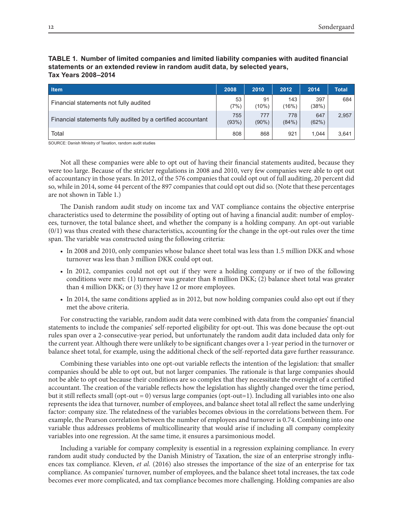#### **TABLE 1. Number of limited companies and limited liability companies with audited financial statements or an extended review in random audit data, by selected years, Tax Years 2008–2014**

| <b>Item</b>                                                  | 2008         | 2010            | 2012         | 2014         | <b>Total</b> |
|--------------------------------------------------------------|--------------|-----------------|--------------|--------------|--------------|
| Financial statements not fully audited                       | 53<br>(7%)   | 91<br>$(10\%)$  | 143<br>(16%) | 397<br>(38%) | 684          |
| Financial statements fully audited by a certified accountant | 755<br>(93%) | 777<br>$(90\%)$ | 778<br>(84%) | 647<br>(62%) | 2,957        |
| Total                                                        | 808          | 868             | 921          | 1.044        | 3,641        |

SOURCE: Danish Ministry of Taxation, random audit studies

Not all these companies were able to opt out of having their financial statements audited, because they were too large. Because of the stricter regulations in 2008 and 2010, very few companies were able to opt out of accountancy in those years. In 2012, of the 576 companies that could opt out of full auditing, 20 percent did so, while in 2014, some 44 percent of the 897 companies that could opt out did so. (Note that these percentages are not shown in Table 1.)

The Danish random audit study on income tax and VAT compliance contains the objective enterprise characteristics used to determine the possibility of opting out of having a financial audit: number of employees, turnover, the total balance sheet, and whether the company is a holding company. An opt-out variable  $(0/1)$  was thus created with these characteristics, accounting for the change in the opt-out rules over the time span. The variable was constructed using the following criteria:

- In 2008 and 2010, only companies whose balance sheet total was less than 1.5 million DKK and whose turnover was less than 3 million DKK could opt out.
- In 2012, companies could not opt out if they were a holding company or if two of the following conditions were met: (1) turnover was greater than 8 million DKK; (2) balance sheet total was greater than 4 million DKK; or (3) they have 12 or more employees.
- In 2014, the same conditions applied as in 2012, but now holding companies could also opt out if they met the above criteria.

For constructing the variable, random audit data were combined with data from the companies' financial statements to include the companies' self-reported eligibility for opt-out. This was done because the opt-out rules span over a 2-consecutive-year period, but unfortunately the random audit data included data only for the current year. Although there were unlikely to be significant changes over a 1-year period in the turnover or balance sheet total, for example, using the additional check of the self-reported data gave further reassurance.

Combining these variables into one opt-out variable reflects the intention of the legislation: that smaller companies should be able to opt out, but not larger companies. The rationale is that large companies should not be able to opt out because their conditions are so complex that they necessitate the oversight of a certified accountant. The creation of the variable reflects how the legislation has slightly changed over the time period, but it still reflects small (opt-out = 0) versus large companies (opt-out=1). Including all variables into one also represents the idea that turnover, number of employees, and balance sheet total all reflect the same underlying factor: company size. The relatedness of the variables becomes obvious in the correlations between them. For example, the Pearson correlation between the number of employees and turnover is 0.74. Combining into one variable thus addresses problems of multicollinearity that would arise if including all company complexity variables into one regression. At the same time, it ensures a parsimonious model.

Including a variable for company complexity is essential in a regression explaining compliance. In every random audit study conducted by the Danish Ministry of Taxation, the size of an enterprise strongly influences tax compliance. Kleven, *et al.* (2016) also stresses the importance of the size of an enterprise for tax compliance. As companies' turnover, number of employees, and the balance sheet total increases, the tax code becomes ever more complicated, and tax compliance becomes more challenging. Holding companies are also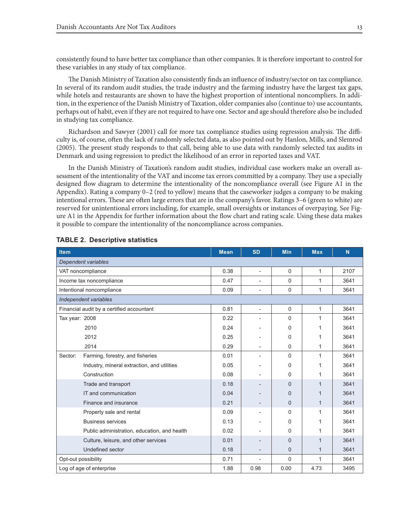consistently found to have better tax compliance than other companies. It is therefore important to control for these variables in any study of tax compliance.

The Danish Ministry of Taxation also consistently finds an influence of industry/sector on tax compliance. In several of its random audit studies, the trade industry and the farming industry have the largest tax gaps, while hotels and restaurants are shown to have the highest proportion of intentional noncompliers. In addition, in the experience of the Danish Ministry of Taxation, older companies also (continue to) use accountants, perhaps out of habit, even if they are not required to have one. Sector and age should therefore also be included in studying tax compliance.

Richardson and Sawyer (2001) call for more tax compliance studies using regression analysis. The difficulty is, of course, often the lack of randomly selected data, as also pointed out by Hanlon, Mills, and Slemrod (2005). The present study responds to that call, being able to use data with randomly selected tax audits in Denmark and using regression to predict the likelihood of an error in reported taxes and VAT.

In the Danish Ministry of Taxation's random audit studies, individual case workers make an overall assessment of the intentionality of the VAT and income tax errors committed by a company. They use a specially designed flow diagram to determine the intentionality of the noncompliance overall (see Figure A1 in the Appendix). Rating a company 0–2 (red to yellow) means that the caseworker judges a company to be making intentional errors. These are often large errors that are in the company's favor. Ratings 3–6 (green to white) are reserved for unintentional errors including, for example, small oversights or instances of overpaying. See Figure A1 in the Appendix for further information about the flow chart and rating scale. Using these data makes it possible to compare the intentionality of the noncompliance across companies.

| <b>Item</b>               |                                              | <b>Mean</b> | <b>SD</b>                | <b>Min</b>   | <b>Max</b>   | N    |
|---------------------------|----------------------------------------------|-------------|--------------------------|--------------|--------------|------|
| Dependent variables       |                                              |             |                          |              |              |      |
| VAT noncompliance         |                                              | 0.38        | $\overline{\phantom{0}}$ | 0            | 1            | 2107 |
|                           | Income tax noncompliance                     | 0.47        | $\overline{a}$           | $\Omega$     | 1            | 3641 |
| Intentional noncompliance |                                              | 0.09        | $\overline{a}$           | $\mathbf 0$  | 1            | 3641 |
| Independent variables     |                                              |             |                          |              |              |      |
|                           | Financial audit by a certified accountant    | 0.81        | $\overline{\phantom{0}}$ | $\Omega$     | 1            | 3641 |
| Tax year: 2008            |                                              | 0.22        |                          | $\Omega$     | 1            | 3641 |
| 2010                      |                                              | 0.24        | $\overline{\phantom{0}}$ | 0            | 1            | 3641 |
| 2012                      |                                              | 0.25        |                          | 0            | 1            | 3641 |
| 2014                      |                                              | 0.29        |                          | 0            | 1            | 3641 |
| Sector:                   | Farming, forestry, and fisheries             | 0.01        | $\overline{a}$           | $\Omega$     | 1            | 3641 |
|                           | Industry, mineral extraction, and utilities  | 0.05        |                          | $\Omega$     | 1            | 3641 |
|                           | Construction                                 | 0.08        |                          | $\Omega$     | 1            | 3641 |
|                           | Trade and transport                          | 0.18        |                          | $\Omega$     | 1            | 3641 |
|                           | IT and communication                         | 0.04        |                          | $\Omega$     | 1            | 3641 |
|                           | Finance and insurance                        | 0.21        |                          | $\mathbf{0}$ | $\mathbf{1}$ | 3641 |
|                           | Property sale and rental                     | 0.09        | $\overline{\phantom{0}}$ | $\Omega$     | 1            | 3641 |
|                           | <b>Business services</b>                     | 0.13        |                          | 0            | 1            | 3641 |
|                           | Public administration, education, and health | 0.02        |                          | 0            | 1            | 3641 |
|                           | Culture, leisure, and other services         | 0.01        |                          | $\Omega$     | $\mathbf{1}$ | 3641 |
|                           | Undefined sector                             | 0.18        | $\overline{a}$           | $\Omega$     | $\mathbf{1}$ | 3641 |
| Opt-out possibility       |                                              | 0.71        | $\overline{a}$           | 0            | 1            | 3641 |
| Log of age of enterprise  |                                              | 1.88        | 0.98                     | 0.00         | 4.73         | 3495 |

#### **TABLE 2. Descriptive statistics**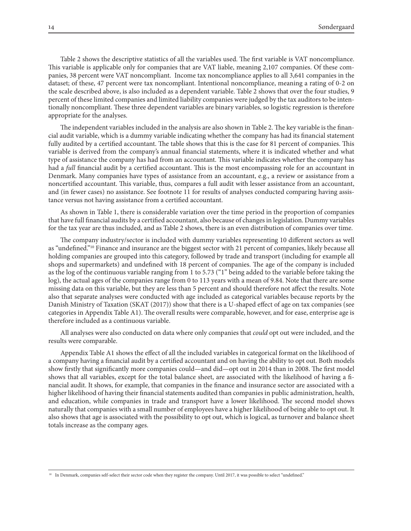Table 2 shows the descriptive statistics of all the variables used. The first variable is VAT noncompliance. This variable is applicable only for companies that are VAT liable, meaning 2,107 companies. Of these companies, 38 percent were VAT noncompliant. Income tax noncompliance applies to all 3,641 companies in the dataset; of these, 47 percent were tax noncompliant. Intentional noncompliance, meaning a rating of 0-2 on the scale described above, is also included as a dependent variable. Table 2 shows that over the four studies, 9 percent of these limited companies and limited liability companies were judged by the tax auditors to be intentionally noncompliant. These three dependent variables are binary variables, so logistic regression is therefore appropriate for the analyses.

The independent variables included in the analysis are also shown in Table 2. The key variable is the financial audit variable, which is a dummy variable indicating whether the company has had its financial statement fully audited by a certified accountant. The table shows that this is the case for 81 percent of companies. This variable is derived from the company's annual financial statements, where it is indicated whether and what type of assistance the company has had from an accountant. This variable indicates whether the company has had a *full* financial audit by a certified accountant. This is the most encompassing role for an accountant in Denmark. Many companies have types of assistance from an accountant, e.g., a review or assistance from a noncertified accountant. This variable, thus, compares a full audit with lesser assistance from an accountant, and (in fewer cases) no assistance. See footnote 11 for results of analyses conducted comparing having assistance versus not having assistance from a certified accountant.

As shown in Table 1, there is considerable variation over the time period in the proportion of companies that have full financial audits by a certified accountant, also because of changes in legislation. Dummy variables for the tax year are thus included, and as Table 2 shows, there is an even distribution of companies over time.

The company industry/sector is included with dummy variables representing 10 different sectors as well as "undefined."<sup>10</sup> Finance and insurance are the biggest sector with 21 percent of companies, likely because all holding companies are grouped into this category, followed by trade and transport (including for example all shops and supermarkets) and undefined with 18 percent of companies. The age of the company is included as the log of the continuous variable ranging from 1 to 5.73 ("1" being added to the variable before taking the log), the actual ages of the companies range from 0 to 113 years with a mean of 9.84. Note that there are some missing data on this variable, but they are less than 5 percent and should therefore not affect the results. Note also that separate analyses were conducted with age included as categorical variables because reports by the Danish Ministry of Taxation (SKAT (2017)) show that there is a U-shaped effect of age on tax companies (see categories in Appendix Table A1). The overall results were comparable, however, and for ease, enterprise age is therefore included as a continuous variable.

All analyses were also conducted on data where only companies that *could* opt out were included, and the results were comparable.

Appendix Table A1 shows the effect of all the included variables in categorical format on the likelihood of a company having a financial audit by a certified accountant and on having the ability to opt out. Both models show firstly that significantly more companies could—and did—opt out in 2014 than in 2008. The first model shows that all variables, except for the total balance sheet, are associated with the likelihood of having a financial audit. It shows, for example, that companies in the finance and insurance sector are associated with a higher likelihood of having their financial statements audited than companies in public administration, health, and education, while companies in trade and transport have a lower likelihood. The second model shows naturally that companies with a small number of employees have a higher likelihood of being able to opt out. It also shows that age is associated with the possibility to opt out, which is logical, as turnover and balance sheet totals increase as the company ages.

<sup>&</sup>lt;sup>10</sup> In Denmark, companies self-select their sector code when they register the company. Until 2017, it was possible to select "undefined."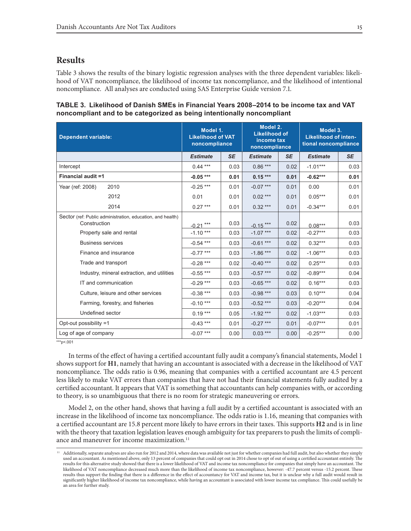# **Results**

Table 3 shows the results of the binary logistic regression analyses with the three dependent variables: likelihood of VAT noncompliance, the likelihood of income tax noncompliance, and the likelihood of intentional noncompliance. All analyses are conducted using SAS Enterprise Guide version 7.1.

#### **TABLE 3. Likelihood of Danish SMEs in Financial Years 2008–2014 to be income tax and VAT noncompliant and to be categorized as being intentionally noncompliant**

| <b>Dependent variable:</b>                                                 | Model 1.<br><b>Likelihood of VAT</b><br>noncompliance |           | Model 2.<br><b>Likelihood of</b><br>income tax<br>noncompliance |           | Model 3.<br><b>Likelihood of inten-</b><br>tional noncompliance |           |
|----------------------------------------------------------------------------|-------------------------------------------------------|-----------|-----------------------------------------------------------------|-----------|-----------------------------------------------------------------|-----------|
|                                                                            | <b>Estimate</b>                                       | <b>SE</b> | <b>Estimate</b>                                                 | <b>SE</b> | <b>Estimate</b>                                                 | <b>SE</b> |
| Intercept                                                                  | $0.44***$                                             | 0.03      | $0.86***$                                                       | 0.02      | $-1.01***$                                                      | 0.03      |
| <b>Financial audit =1</b>                                                  | $-0.05***$                                            | 0.01      | $0.15***$                                                       | 0.01      | $-0.62***$                                                      | 0.01      |
| 2010<br>Year (ref: 2008)                                                   | $-0.25***$                                            | 0.01      | $-0.07$ ***                                                     | 0.01      | 0.00                                                            | 0.01      |
| 2012                                                                       | 0.01                                                  | 0.01      | $0.02***$                                                       | 0.01      | $0.05***$                                                       | 0.01      |
| 2014                                                                       | $0.27***$                                             | 0.01      | $0.32***$                                                       | 0.01      | $-0.34***$                                                      | 0.01      |
| Sector (ref: Public administration, education, and health)<br>Construction | $-0.21$ ***                                           | 0.03      | $-0.15***$                                                      | 0.02      | $0.08***$                                                       | 0.03      |
| Property sale and rental                                                   | $-1.10***$                                            | 0.03      | $-1.07***$                                                      | 0.02      | $-0.27***$                                                      | 0.03      |
| <b>Business services</b>                                                   | $-0.54$ ***                                           | 0.03      | $-0.61***$                                                      | 0.02      | $0.32***$                                                       | 0.03      |
| Finance and insurance                                                      | $-0.77$ ***                                           | 0.03      | $-1.86***$                                                      | 0.02      | $-1.06***$                                                      | 0.03      |
| Trade and transport                                                        | $-0.28$ ***                                           | 0.02      | $-0.40$ ***                                                     | 0.02      | $0.25***$                                                       | 0.03      |
| Industry, mineral extraction, and utilities                                | $-0.55***$                                            | 0.03      | $-0.57***$                                                      | 0.02      | $-0.89***$                                                      | 0.04      |
| IT and communication                                                       | $-0.29$ ***                                           | 0.03      | $-0.65$ ***                                                     | 0.02      | $0.16***$                                                       | 0.03      |
| Culture, leisure and other services                                        | $-0.38***$                                            | 0.03      | $-0.98$ ***                                                     | 0.03      | $0.10***$                                                       | 0.04      |
| Farming, forestry, and fisheries                                           | $-0.10***$                                            | 0.03      | $-0.52***$                                                      | 0.03      | $-0.20***$                                                      | 0.04      |
| Undefined sector                                                           | $0.19***$                                             | 0.05      | $-1.92***$                                                      | 0.02      | $-1.03***$                                                      | 0.03      |
| Opt-out possibility =1                                                     | $-0.43$ ***                                           | 0.01      | $-0.27***$                                                      | 0.01      | $-0.07***$                                                      | 0.01      |
| Log of age of company                                                      | $-0.07$ ***                                           | 0.00      | $0.03***$                                                       | 0.00      | $-0.25***$                                                      | 0.00      |

 $**p<.001$ 

In terms of the effect of having a certified accountant fully audit a company's financial statements, Model 1 shows support for **H1**, namely that having an accountant is associated with a decrease in the likelihood of VAT noncompliance. The odds ratio is 0.96, meaning that companies with a certified accountant are 4.5 percent less likely to make VAT errors than companies that have not had their financial statements fully audited by a certified accountant. It appears that VAT is something that accountants can help companies with, or according to theory, is so unambiguous that there is no room for strategic maneuvering or errors.

Model 2, on the other hand, shows that having a full audit by a certified accountant is associated with an increase in the likelihood of income tax noncompliance. The odds ratio is 1.16, meaning that companies with a certified accountant are 15.8 percent more likely to have errors in their taxes. This supports **H2** and is in line with the theory that taxation legislation leaves enough ambiguity for tax preparers to push the limits of compliance and maneuver for income maximization.<sup>11</sup>

<sup>11</sup> Additionally, separate analyses are also run for 2012 and 2014, where data was available not just for whether companies had full audit, but also whether they simply used an accountant. As mentioned above, only 13 percent of companies that could opt out in 2014 chose to opt of out of using a certified accountant entirely. The results for this alternative study showed that there is a lower likelihood of VAT and income tax noncompliance for companies that simply have an accountant. The likelihood of VAT noncompliance decreased much more than the likelihood of income tax noncompliance, however: -47.7 percent versus -15.2 percent. These results thus support the finding that there is a difference in the effect of accountancy for VAT and income tax, but it is unclear why a full audit would result in significantly higher likelihood of income tax noncompliance, while having an accountant is associated with lower income tax compliance. This could usefully be an area for further study.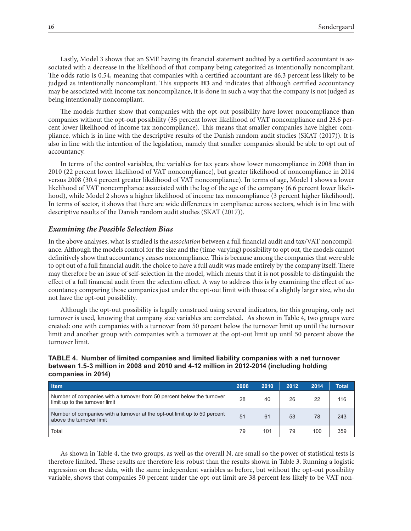Lastly, Model 3 shows that an SME having its financial statement audited by a certified accountant is associated with a decrease in the likelihood of that company being categorized as intentionally noncompliant. The odds ratio is 0.54, meaning that companies with a certified accountant are 46.3 percent less likely to be judged as intentionally noncompliant. This supports **H3** and indicates that although certified accountancy may be associated with income tax noncompliance, it is done in such a way that the company is not judged as being intentionally noncompliant.

The models further show that companies with the opt-out possibility have lower noncompliance than companies without the opt-out possibility (35 percent lower likelihood of VAT noncompliance and 23.6 percent lower likelihood of income tax noncompliance). This means that smaller companies have higher compliance, which is in line with the descriptive results of the Danish random audit studies (SKAT (2017)). It is also in line with the intention of the legislation, namely that smaller companies should be able to opt out of accountancy.

In terms of the control variables, the variables for tax years show lower noncompliance in 2008 than in 2010 (22 percent lower likelihood of VAT noncompliance), but greater likelihood of noncompliance in 2014 versus 2008 (30.4 percent greater likelihood of VAT noncompliance). In terms of age, Model 1 shows a lower likelihood of VAT noncompliance associated with the log of the age of the company (6.6 percent lower likelihood), while Model 2 shows a higher likelihood of income tax noncompliance (3 percent higher likelihood). In terms of sector, it shows that there are wide differences in compliance across sectors, which is in line with descriptive results of the Danish random audit studies (SKAT (2017)).

#### *Examining the Possible Selection Bias*

In the above analyses, what is studied is the *association* between a full financial audit and tax/VAT noncompliance. Although the models control for the size and the (time-varying) possibility to opt out, the models cannot definitively show that accountancy *causes* noncompliance. This is because among the companies that were able to opt out of a full financial audit, the choice to have a full audit was made entirely by the company itself. There may therefore be an issue of self-selection in the model, which means that it is not possible to distinguish the effect of a full financial audit from the selection effect. A way to address this is by examining the effect of accountancy comparing those companies just under the opt-out limit with those of a slightly larger size, who do not have the opt-out possibility.

Although the opt-out possibility is legally construed using several indicators, for this grouping, only net turnover is used, knowing that company size variables are correlated. As shown in Table 4, two groups were created: one with companies with a turnover from 50 percent below the turnover limit up until the turnover limit and another group with companies with a turnover at the opt-out limit up until 50 percent above the turnover limit.

#### **TABLE 4. Number of limited companies and limited liability companies with a net turnover between 1.5-3 million in 2008 and 2010 and 4-12 million in 2012-2014 (including holding companies in 2014)**

| <b>Item</b>                                                                                              | 2008 | 2010 | 2012 | 2014 | Total |
|----------------------------------------------------------------------------------------------------------|------|------|------|------|-------|
| Number of companies with a turnover from 50 percent below the turnover<br>limit up to the turnover limit | 28   | 40   | 26   | 22   | 116   |
| Number of companies with a turnover at the opt-out limit up to 50 percent<br>above the turnover limit    | 51   | 61   | 53   | 78   | 243   |
| Total                                                                                                    | 79   | 101  | 79   | 100  | 359   |

As shown in Table 4, the two groups, as well as the overall N, are small so the power of statistical tests is therefore limited. These results are therefore less robust than the results shown in Table 3. Running a logistic regression on these data, with the same independent variables as before, but without the opt-out possibility variable, shows that companies 50 percent under the opt-out limit are 38 percent less likely to be VAT non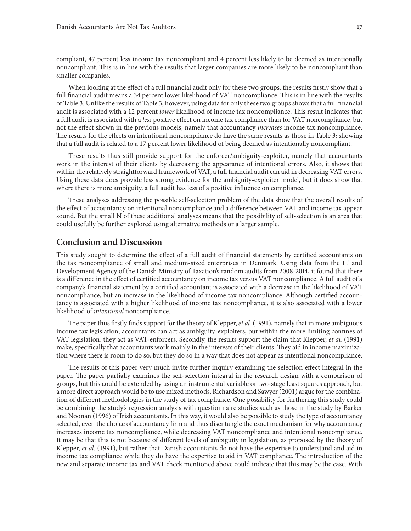compliant, 47 percent less income tax noncompliant and 4 percent less likely to be deemed as intentionally noncompliant. This is in line with the results that larger companies are more likely to be noncompliant than smaller companies.

When looking at the effect of a full financial audit only for these two groups, the results firstly show that a full financial audit means a 34 percent lower likelihood of VAT noncompliance. This is in line with the results of Table 3. Unlike the results of Table 3, however, using data for only these two groups shows that a full financial audit is associated with a 12 percent *lower* likelihood of income tax noncompliance. This result indicates that a full audit is associated with a *less* positive effect on income tax compliance than for VAT noncompliance, but not the effect shown in the previous models, namely that accountancy *increases* income tax noncompliance. The results for the effects on intentional noncompliance do have the same results as those in Table 3; showing that a full audit is related to a 17 percent lower likelihood of being deemed as intentionally noncompliant.

These results thus still provide support for the enforcer/ambiguity-exploiter, namely that accountants work in the interest of their clients by decreasing the appearance of intentional errors. Also, it shows that within the relatively straightforward framework of VAT, a full financial audit can aid in decreasing VAT errors. Using these data does provide less strong evidence for the ambiguity-exploiter model, but it does show that where there is more ambiguity, a full audit has less of a positive influence on compliance.

These analyses addressing the possible self-selection problem of the data show that the overall results of the effect of accountancy on intentional noncompliance and a difference between VAT and income tax appear sound. But the small N of these additional analyses means that the possibility of self-selection is an area that could usefully be further explored using alternative methods or a larger sample.

### **Conclusion and Discussion**

This study sought to determine the effect of a full audit of financial statements by certified accountants on the tax noncompliance of small and medium-sized enterprises in Denmark. Using data from the IT and Development Agency of the Danish Ministry of Taxation's random audits from 2008-2014, it found that there is a difference in the effect of certified accountancy on income tax versus VAT noncompliance. A full audit of a company's financial statement by a certified accountant is associated with a decrease in the likelihood of VAT noncompliance, but an increase in the likelihood of income tax noncompliance. Although certified accountancy is associated with a higher likelihood of income tax noncompliance, it is also associated with a lower likelihood of *intentional* noncompliance.

The paper thus firstly finds support for the theory of Klepper, *et al.* (1991), namely that in more ambiguous income tax legislation, accountants can act as ambiguity-exploiters, but within the more limiting confines of VAT legislation, they act as VAT-enforcers. Secondly, the results support the claim that Klepper, *et al.* (1991) make, specifically that accountants work mainly in the interests of their clients. They aid in income maximization where there is room to do so, but they do so in a way that does not appear as intentional noncompliance.

The results of this paper very much invite further inquiry examining the selection effect integral in the paper. The paper partially examines the self-selection integral in the research design with a comparison of groups, but this could be extended by using an instrumental variable or two-stage least squares approach, but a more direct approach would be to use mixed methods. Richardson and Sawyer (2001) argue for the combination of different methodologies in the study of tax compliance. One possibility for furthering this study could be combining the study's regression analysis with questionnaire studies such as those in the study by Barker and Noonan (1996) of Irish accountants. In this way, it would also be possible to study the type of accountancy selected, even the choice of accountancy firm and thus disentangle the exact mechanism for why accountancy increases income tax noncompliance, while decreasing VAT noncompliance and intentional noncompliance. It may be that this is not because of different levels of ambiguity in legislation, as proposed by the theory of Klepper, *et al.* (1991), but rather that Danish accountants do not have the expertise to understand and aid in income tax compliance while they do have the expertise to aid in VAT compliance. The introduction of the new and separate income tax and VAT check mentioned above could indicate that this may be the case. With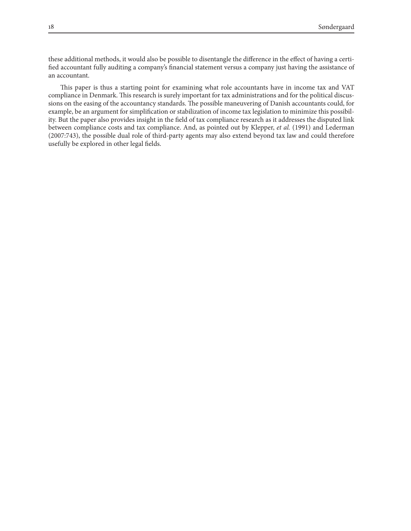these additional methods, it would also be possible to disentangle the difference in the effect of having a certified accountant fully auditing a company's financial statement versus a company just having the assistance of an accountant.

This paper is thus a starting point for examining what role accountants have in income tax and VAT compliance in Denmark. This research is surely important for tax administrations and for the political discussions on the easing of the accountancy standards. The possible maneuvering of Danish accountants could, for example, be an argument for simplification or stabilization of income tax legislation to minimize this possibility. But the paper also provides insight in the field of tax compliance research as it addresses the disputed link between compliance costs and tax compliance. And, as pointed out by Klepper, *et al.* (1991) and Lederman (2007:743), the possible dual role of third-party agents may also extend beyond tax law and could therefore usefully be explored in other legal fields.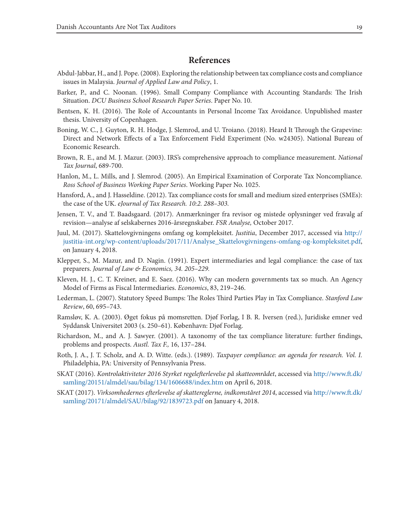# **References**

- Abdul-Jabbar, H., and J. Pope. (2008). Exploring the relationship between tax compliance costs and compliance issues in Malaysia. *Journal of Applied Law and Policy*, 1.
- Barker, P., and C. Noonan. (1996). Small Company Compliance with Accounting Standards: The Irish Situation. *DCU Business School Research Paper Series*. Paper No. 10.
- Bentsen, K. H. (2016). The Role of Accountants in Personal Income Tax Avoidance. Unpublished master thesis. University of Copenhagen.
- Boning, W. C., J. Guyton, R. H. Hodge, J. Slemrod, and U. Troiano. (2018). Heard It Through the Grapevine: Direct and Network Effects of a Tax Enforcement Field Experiment (No. w24305). National Bureau of Economic Research.
- Brown, R. E., and M. J. Mazur. (2003). IRS's comprehensive approach to compliance measurement. *National Tax Journal*, 689-700.
- Hanlon, M., L. Mills, and J. Slemrod. (2005). An Empirical Examination of Corporate Tax Noncompliance. *Ross School of Business Working Paper Series*. Working Paper No. 1025.
- Hansford, A., and J. Hasseldine. (2012). Tax compliance costs for small and medium sized enterprises (SMEs): the case of the UK. *eJournal of Tax Research. 10:2. 288–303.*
- Jensen, T. V., and T. Baadsgaard. (2017). Anmærkninger fra revisor og mistede oplysninger ved fravalg af revision—analyse af selskabernes 2016-årsregnskaber. *FSR Analyse,* October 2017.
- Juul, M. (2017). Skattelovgivningens omfang og kompleksitet. *Justitia*, December 2017, accessed via http:// justitia-int.org/wp-content/uploads/2017/11/Analyse\_Skattelovgivningens-omfang-og-kompleksitet.pdf, on January 4, 2018.
- Klepper, S., M. Mazur, and D. Nagin. (1991). Expert intermediaries and legal compliance: the case of tax preparers. *Journal of Law & Economics, 34. 205–229.*
- Kleven, H. J., C. T. Kreiner, and E. Saez. (2016). Why can modern governments tax so much. An Agency Model of Firms as Fiscal Intermediaries. *Economics*, 83, 219–246.
- Lederman, L. (2007). Statutory Speed Bumps: The Roles Third Parties Play in Tax Compliance. *Stanford Law Review*, 60, 695–743.
- Ramsløv, K. A. (2003). Øget fokus på momsretten. Djøf Forlag, I B. R. Iversen (red.), Juridiske emner ved Syddansk Universitet 2003 (s. 250–61). København: Djøf Forlag.
- Richardson, M., and A. J. Sawyer. (2001). A taxonomy of the tax compliance literature: further findings, problems and prospects. *Austl. Tax F.,* 16, 137–284.
- Roth, J. A., J. T. Scholz, and A. D. Witte. (eds.). (1989). *Taxpayer compliance: an agenda for research. Vol. I.* Philadelphia, PA: University of Pennsylvania Press.
- SKAT (2016). *Kontrolaktiviteter 2016 Styrket regelefterlevelse på skatteområdet*, accessed via http://www.ft.dk/ samling/20151/almdel/sau/bilag/134/1606688/index.htm on April 6, 2018.
- SKAT (2017). *Virksomhedernes efterlevelse af skattereglerne, indkomståret 2014*, accessed via http://www.ft.dk/ samling/20171/almdel/SAU/bilag/92/1839723.pdf on January 4, 2018.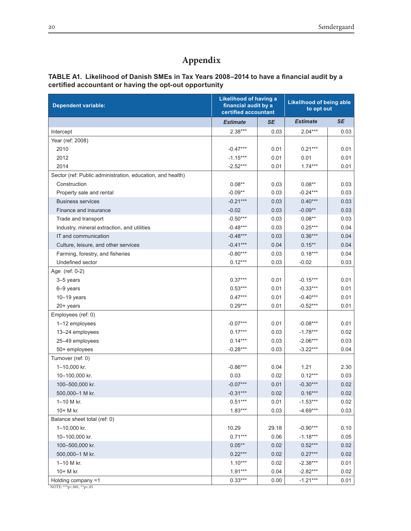# **Appendix**

# **TABLE A1. Likelihood of Danish SMEs in Tax Years 2008–2014 to have a financial audit by a certified accountant or having the opt-out opportunity**

| <b>Dependent variable:</b>                                 | <b>Likelihood of having a</b><br>financial audit by a<br>certified accountant |       | <b>Likelihood of being able</b><br>to opt out |           |  |
|------------------------------------------------------------|-------------------------------------------------------------------------------|-------|-----------------------------------------------|-----------|--|
|                                                            | <b>Estimate</b><br><b>SE</b>                                                  |       | <b>Estimate</b>                               | <b>SE</b> |  |
| Intercept                                                  | $2.38***$                                                                     | 0.03  | $2.04***$                                     | 0.03      |  |
| Year (ref: 2008)                                           |                                                                               |       |                                               |           |  |
| 2010                                                       | $-0.47***$                                                                    | 0.01  | $0.21***$                                     | 0.01      |  |
| 2012                                                       | $-1.15***$                                                                    | 0.01  | 0.01                                          | 0.01      |  |
| 2014                                                       | $-2.52***$                                                                    | 0.01  | $1.74***$                                     | 0.01      |  |
| Sector (ref: Public administration, education, and health) |                                                                               |       |                                               |           |  |
| Construction                                               | $0.08**$                                                                      | 0.03  | $0.08**$                                      | 0.03      |  |
| Property sale and rental                                   | $-0.09**$                                                                     | 0.03  | $-0.24***$                                    | 0.03      |  |
| <b>Business services</b>                                   | $-0.21***$                                                                    | 0.03  | $0.40***$                                     | 0.03      |  |
| Finance and insurance                                      | $-0.02$                                                                       | 0.03  | $-0.09**$                                     | 0.03      |  |
| Trade and transport                                        | $-0.50***$                                                                    | 0.03  | $0.08**$                                      | 0.03      |  |
| Industry, mineral extraction, and utilities                | $-0.48***$                                                                    | 0.03  | $0.25***$                                     | 0.04      |  |
| IT and communication                                       | $-0.48***$                                                                    | 0.03  | $0.36***$                                     | 0.04      |  |
| Culture, leisure, and other services                       | $-0.41***$                                                                    | 0.04  | $0.15***$                                     | 0.04      |  |
| Farming, forestry, and fisheries                           | $-0.80***$                                                                    | 0.03  | $0.18***$                                     | 0.04      |  |
| Undefined sector                                           | $0.12***$                                                                     | 0.03  | $-0.02$                                       | 0.03      |  |
| Age (ref: 0-2)                                             |                                                                               |       |                                               |           |  |
| 3-5 years                                                  | $0.37***$                                                                     | 0.01  | $-0.15***$                                    | 0.01      |  |
| 6-9 years                                                  | $0.53***$                                                                     | 0.01  | $-0.33***$                                    | 0.01      |  |
| $10-19$ years                                              | $0.47***$                                                                     | 0.01  | $-0.40***$                                    | 0.01      |  |
| 20+ years                                                  | $0.29***$                                                                     | 0.01  | $-0.52***$                                    | 0.01      |  |
| Employees (ref: 0)                                         |                                                                               |       |                                               |           |  |
| 1-12 employees                                             | $-0.07***$                                                                    | 0.01  | $-0.08***$                                    | 0.01      |  |
| 13-24 employees                                            | $0.17***$                                                                     | 0.03  | $-1.78***$                                    | 0.02      |  |
| 25-49 employees                                            | $0.14***$                                                                     | 0.03  | $-2.06***$                                    | 0.03      |  |
| 50+ employees                                              | $-0.28***$                                                                    | 0.03  | $-3.22***$                                    | 0.04      |  |
| Turnover (ref: 0)                                          |                                                                               |       |                                               |           |  |
| 1-10,000 kr.                                               | $-0.86***$                                                                    | 0.04  | 1.21                                          | 2.30      |  |
| 10-100,000 kr.                                             | 0.03                                                                          | 0.02  | $0.12***$                                     | 0.03      |  |
| 100-500,000 kr.                                            | $-0.07***$                                                                    | 0.01  | $-0.30***$                                    | 0.02      |  |
| 500,000-1 M kr.                                            | $-0.31***$                                                                    | 0.02  | $0.16***$                                     | 0.02      |  |
| 1-10 M kr.                                                 | $0.51***$                                                                     | 0.01  | $-1.53***$                                    | 0.02      |  |
| 10+ M kr.                                                  | $1.83***$                                                                     | 0.03  | $-4.69***$                                    | 0.03      |  |
| Balance sheet total (ref: 0)                               |                                                                               |       |                                               |           |  |
| 1-10,000 kr.                                               | 10.29                                                                         | 29.18 | $-0.90***$                                    | 0.10      |  |
| 10-100,000 kr.                                             | $0.71***$                                                                     | 0.06  | $-1.18***$                                    | 0.05      |  |
| 100-500,000 kr.                                            | $0.05**$                                                                      | 0.02  | $0.52***$                                     | 0.02      |  |
| 500,000-1 M kr.                                            | $0.22***$                                                                     | 0.02  | $0.27***$                                     | 0.02      |  |
| 1-10 M kr.                                                 | $1.10***$                                                                     | 0.02  | $-2.38***$                                    | 0.01      |  |
| 10+ M kr.                                                  | $1.91***$                                                                     | 0.04  | $-2.82***$                                    | 0.02      |  |
| Holding company =1                                         | $0.33***$                                                                     | 0.00  | $-1.21***$                                    | 0.01      |  |